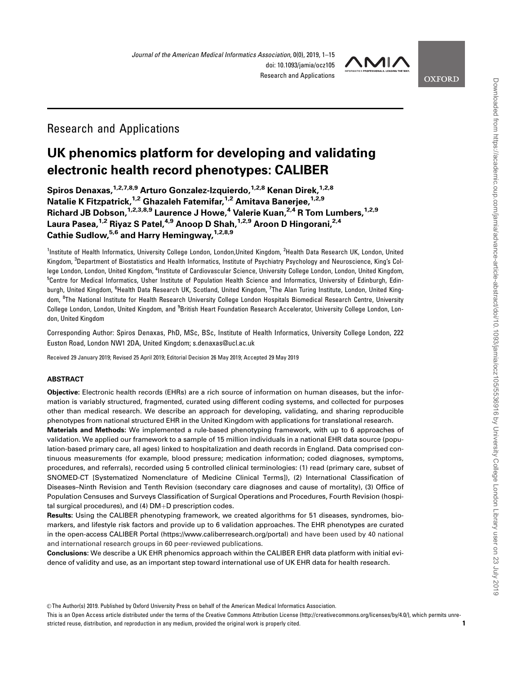

**OXFORD** 

# Research and Applications

# UK phenomics platform for developing and validating electronic health record phenotypes: CALIBER

Spiros Denaxas,<sup>1,2,7,8,9</sup> Arturo Gonzalez-Izquierdo,<sup>1,2,8</sup> Kenan Direk,<sup>1,2,8</sup> Natalie K Fitzpatrick,<sup>1,2</sup> Ghazaleh Fatemifar,<sup>1,2</sup> Amitava Banerjee,<sup>1,2,9</sup> Richard JB Dobson,<sup>1,2,3,8,9</sup> Laurence J Howe,<sup>4</sup> Valerie Kuan,<sup>2,4</sup> R Tom Lumbers,<sup>1,2,9</sup> Laura Pasea, <sup>1,2</sup> Riyaz S Patel, <sup>4,9</sup> Anoop D Shah, <sup>1,2,9</sup> Aroon D Hingorani, <sup>2,4</sup> Cathie Sudlow,<sup>5,6</sup> and Harry Hemingway, <sup>1,2,8,9</sup>

<sup>1</sup>Institute of Health Informatics, University College London, London,United Kingdom, <sup>2</sup>Health Data Research UK, London, United Kingdom, <sup>3</sup>Department of Biostatistics and Health Informatics, Institute of Psychiatry Psychology and Neuroscience, King's College London, London, United Kingdom, <sup>4</sup>Institute of Cardiovascular Science, University College London, London, United Kingdom, 5 Centre for Medical Informatics, Usher Institute of Population Health Science and Informatics, University of Edinburgh, Edinburgh, United Kingdom, <sup>6</sup>Health Data Research UK, Scotland, United Kingdom, <sup>7</sup>The Alan Turing Institute, London, United Kingdom, <sup>8</sup>The National Institute for Health Research University College London Hospitals Biomedical Research Centre, University College London, London, United Kingdom, and <sup>9</sup>British Heart Foundation Research Accelerator, University College London, London, United Kingdom

Corresponding Author: Spiros Denaxas, PhD, MSc, BSc, Institute of Health Informatics, University College London, 222 Euston Road, London NW1 2DA, United Kingdom; s.denaxas@ucl.ac.uk

Received 29 January 2019; Revised 25 April 2019; Editorial Decision 26 May 2019; Accepted 29 May 2019

## ABSTRACT

Objective: Electronic health records (EHRs) are a rich source of information on human diseases, but the information is variably structured, fragmented, curated using different coding systems, and collected for purposes other than medical research. We describe an approach for developing, validating, and sharing reproducible phenotypes from national structured EHR in the United Kingdom with applications for translational research.

Materials and Methods: We implemented a rule-based phenotyping framework, with up to 6 approaches of validation. We applied our framework to a sample of 15 million individuals in a national EHR data source (population-based primary care, all ages) linked to hospitalization and death records in England. Data comprised continuous measurements (for example, blood pressure; medication information; coded diagnoses, symptoms, procedures, and referrals), recorded using 5 controlled clinical terminologies: (1) read (primary care, subset of SNOMED-CT [Systematized Nomenclature of Medicine Clinical Terms]), (2) International Classification of Diseases–Ninth Revision and Tenth Revision (secondary care diagnoses and cause of mortality), (3) Office of Population Censuses and Surveys Classification of Surgical Operations and Procedures, Fourth Revision (hospital surgical procedures), and (4)  $DM+D$  prescription codes.

Results: Using the CALIBER phenotyping framework, we created algorithms for 51 diseases, syndromes, biomarkers, and lifestyle risk factors and provide up to 6 validation approaches. The EHR phenotypes are curated in the open-access CALIBER Portal [\(https://www.caliberresearch.org/portal](https://www.caliberresearch.org/portal)) and have been used by 40 national and international research groups in 60 peer-reviewed publications.

Conclusions: We describe a UK EHR phenomics approach within the CALIBER EHR data platform with initial evidence of validity and use, as an important step toward international use of UK EHR data for health research.

V<sup>C</sup> The Author(s) 2019. Published by Oxford University Press on behalf of the American Medical Informatics Association.

This is an Open Access article distributed under the terms of the Creative Commons Attribution License (http://creativecommons.org/licenses/by/4.0/), which permits unrestricted reuse, distribution, and reproduction in any medium, provided the original work is properly cited.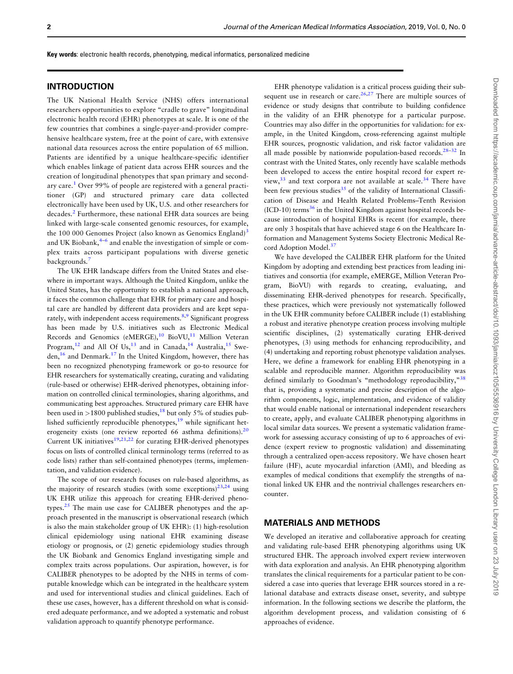Key words: electronic health records, phenotyping, medical informatics, personalized medicine

## INTRODUCTION

The UK National Health Service (NHS) offers international researchers opportunities to explore "cradle to grave" longitudinal electronic health record (EHR) phenotypes at scale. It is one of the few countries that combines a single-payer-and-provider comprehensive healthcare system, free at the point of care, with extensive national data resources across the entire population of 65 million. Patients are identified by a unique healthcare-specific identifier which enables linkage of patient data across EHR sources and the creation of longitudinal phenotypes that span primary and second-ary care.<sup>[1](#page-12-0)</sup> Over 99% of people are registered with a general practitioner (GP) and structured primary care data collected electronically have been used by UK, U.S. and other researchers for decades.<sup>[2](#page-12-0)</sup> Furthermore, these national EHR data sources are being linked with large-scale consented genomic resources, for example, the 100 000 Genomes Project (also known as Genomics England) $3$ and UK Biobank, $4-6$  and enable the investigation of simple or complex traits across participant populations with diverse genetic backgrounds.<sup>[7](#page-12-0)</sup>

The UK EHR landscape differs from the United States and elsewhere in important ways. Although the United Kingdom, unlike the United States, has the opportunity to establish a national approach, it faces the common challenge that EHR for primary care and hospital care are handled by different data providers and are kept sepa-rately, with independent access requirements.<sup>[8](#page-12-0),[9](#page-12-0)</sup> Significant progress has been made by U.S. initiatives such as Electronic Medical Records and Genomics (eMERGE),<sup>[10](#page-12-0)</sup> BioVU,<sup>11</sup> Million Veteran Program,<sup>[12](#page-12-0)</sup> and All Of Us,<sup>[13](#page-12-0)</sup> and in Canada,<sup>[14](#page-12-0)</sup> Australia,<sup>[15](#page-12-0)</sup> Swe-den,<sup>16</sup> and Denmark.<sup>[17](#page-12-0)</sup> In the United Kingdom, however, there has been no recognized phenotyping framework or go-to resource for EHR researchers for systematically creating, curating and validating (rule-based or otherwise) EHR-derived phenotypes, obtaining information on controlled clinical terminologies, sharing algorithms, and communicating best approaches. Structured primary care EHR have been used in >1800 published studies,<sup>18</sup> but only 5% of studies published sufficiently reproducible phenotypes, $19$  while significant heterogeneity exists (one review reported 66 asthma definitions).<sup>20</sup> Current UK initiatives<sup>[19,21,22](#page-12-0)</sup> for curating EHR-derived phenotypes focus on lists of controlled clinical terminology terms (referred to as code lists) rather than self-contained phenotypes (terms, implementation, and validation evidence).

The scope of our research focuses on rule-based algorithms, as the majority of research studies (with some exceptions)<sup>23,24</sup> using UK EHR utilize this approach for creating EHR-derived pheno-types.<sup>[25](#page-13-0)</sup> The main use case for CALIBER phenotypes and the approach presented in the manuscript is observational research (which is also the main stakeholder group of UK EHR): (1) high-resolution clinical epidemiology using national EHR examining disease etiology or prognosis, or (2) genetic epidemiology studies through the UK Biobank and Genomics England investigating simple and complex traits across populations. Our aspiration, however, is for CALIBER phenotypes to be adopted by the NHS in terms of computable knowledge which can be integrated in the healthcare system and used for interventional studies and clinical guidelines. Each of these use cases, however, has a different threshold on what is considered adequate performance, and we adopted a systematic and robust validation approach to quantify phenotype performance.

EHR phenotype validation is a critical process guiding their sub-sequent use in research or care.<sup>[26](#page-13-0),[27](#page-13-0)</sup> There are multiple sources of evidence or study designs that contribute to building confidence in the validity of an EHR phenotype for a particular purpose. Countries may also differ in the opportunities for validation: for example, in the United Kingdom, cross-referencing against multiple EHR sources, prognostic validation, and risk factor validation are all made possible by nationwide population-based records.<sup>28–32</sup> In contrast with the United States, only recently have scalable methods been developed to access the entire hospital record for expert review, $33$  and text corpora are not available at scale. $34$  There have been few previous studies<sup>35</sup> of the validity of International Classification of Disease and Health Related Problems–Tenth Revision  $(ICD-10)$  terms<sup>36</sup> in the United Kingdom against hospital records because introduction of hospital EHRs is recent (for example, there are only 3 hospitals that have achieved stage 6 on the Healthcare Information and Management Systems Society Electronic Medical Re-cord Adoption Model.<sup>[37](#page-13-0)</sup>

We have developed the CALIBER EHR platform for the United Kingdom by adopting and extending best practices from leading initiatives and consortia (for example, eMERGE, Million Veteran Program, BioVU) with regards to creating, evaluating, and disseminating EHR-derived phenotypes for research. Specifically, these practices, which were previously not systematically followed in the UK EHR community before CALIBER include (1) establishing a robust and iterative phenotype creation process involving multiple scientific disciplines, (2) systematically curating EHR-derived phenotypes, (3) using methods for enhancing reproducibility, and (4) undertaking and reporting robust phenotype validation analyses. Here, we define a framework for enabling EHR phenotyping in a scalable and reproducible manner. Algorithm reproducibility was defined similarly to Goodman's "methodology reproducibility,"<sup>38</sup> that is, providing a systematic and precise description of the algorithm components, logic, implementation, and evidence of validity that would enable national or international independent researchers to create, apply, and evaluate CALIBER phenotyping algorithms in local similar data sources. We present a systematic validation framework for assessing accuracy consisting of up to 6 approaches of evidence (expert review to prognostic validation) and disseminating through a centralized open-access repository. We have chosen heart failure (HF), acute myocardial infarction (AMI), and bleeding as examples of medical conditions that exemplify the strengths of national linked UK EHR and the nontrivial challenges researchers encounter.

# MATERIALS AND METHODS

We developed an iterative and collaborative approach for creating and validating rule-based EHR phenotyping algorithms using UK structured EHR. The approach involved expert review interwoven with data exploration and analysis. An EHR phenotyping algorithm translates the clinical requirements for a particular patient to be considered a case into queries that leverage EHR sources stored in a relational database and extracts disease onset, severity, and subtype information. In the following sections we describe the platform, the algorithm development process, and validation consisting of 6 approaches of evidence.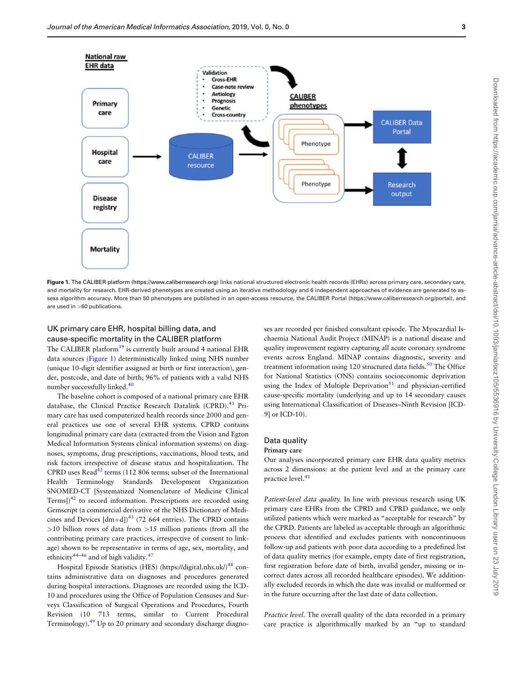



Figure 1. The CALIBER platform ([https://www.caliberresearch.org\)](https://www.caliberresearch.org) links national structured electronic health records (EHRs) across primary care, secondary care, and mortality for research. EHR-derived phenotypes are created using an iterative methodology and 6 independent approaches of evidence are generated to assess algorithm accuracy. More than 50 phenotypes are published in an open-access resource, the CALIBER Portal (<https://www.caliberresearch.org/portal>), and are used in >60 publications.

# UK primary care EHR, hospital billing data, and cause-specific mortality in the CALIBER platform

The CALIBER platform<sup>[39](#page-13-0)</sup> is currently built around 4 national EHR data sources (Figure 1) deterministically linked using NHS number (unique 10-digit identifier assigned at birth or first interaction), gender, postcode, and date of birth; 96% of patients with a valid NHS number successfully linked.[40](#page-13-0)

The baseline cohort is composed of a national primary care EHR database, the Clinical Practice Research Datalink (CPRD).<sup>[41](#page-13-0)</sup> Primary care has used computerized health records since 2000 and general practices use one of several EHR systems. CPRD contains longitudinal primary care data (extracted from the Vision and Egton Medical Information Systems clinical information systems) on diagnoses, symptoms, drug prescriptions, vaccinations, blood tests, and risk factors irrespective of disease status and hospitalization. The CPRD uses Read<sup>[42](#page-13-0)</sup> terms (112 806 terms; subset of the International Health Terminology Standards Development Organization SNOMED-CT [Systematized Nomenclature of Medicine Clinical Terms]) $^{42}$  $^{42}$  $^{42}$  to record information. Prescriptions are recorded using Gemscript (a commercial derivative of the NHS Dictionary of Medicines and Devices  $[dm+d$ <sup>[43](#page-13-0)</sup> (72 664 entries). The CPRD contains >10 billion rows of data from >15 million patients (from all the contributing primary care practices, irrespective of consent to linkage) shown to be representative in terms of age, sex, mortality, and ethnicity<sup>44–46</sup> and of high validity.<sup>47</sup>

Hospital Episode Statistics (HES) [\(https://digital.nhs.uk/](https://digital.nhs.uk/))<sup>[48](#page-13-0)</sup> contains administrative data on diagnoses and procedures generated during hospital interactions. Diagnoses are recorded using the ICD-10 and procedures using the Office of Population Censuses and Surveys Classification of Surgical Operations and Procedures, Fourth Revision (10 713 terms, similar to Current Procedural Terminology).[49](#page-13-0) Up to 20 primary and secondary discharge diagno-

ses are recorded per finished consultant episode. The Myocardial Ischaemia National Audit Project (MINAP) is a national disease and quality improvement registry capturing all acute coronary syndrome events across England. MINAP contains diagnostic, severity and treatment information using 120 structured data fields.<sup>50</sup> The Office for National Statistics (ONS) contains socioeconomic deprivation using the Index of Multiple Deprivation $51$  and physician-certified cause-specific mortality (underlying and up to 14 secondary causes using International Classification of Diseases–Ninth Revision [ICD-9] or ICD-10).

## Data quality

#### Primary care

Our analyses incorporated primary care EHR data quality metrics across 2 dimensions: at the patient level and at the primary care practice level.<sup>[41](#page-13-0)</sup>

Patient-level data quality. In line with previous research using UK primary care EHRs from the CPRD and CPRD guidance, we only utilized patients which were marked as "acceptable for research" by the CPRD. Patients are labeled as acceptable through an algorithmic process that identified and excludes patients with noncontinuous follow-up and patients with poor data according to a predefined list of data quality metrics (for example, empty date of first registration, first registration before date of birth, invalid gender, missing or incorrect dates across all recorded healthcare episodes). We additionally excluded records in which the date was invalid or malformed or in the future occurring after the last date of data collection.

Practice level. The overall quality of the data recorded in a primary care practice is algorithmically marked by an "up to standard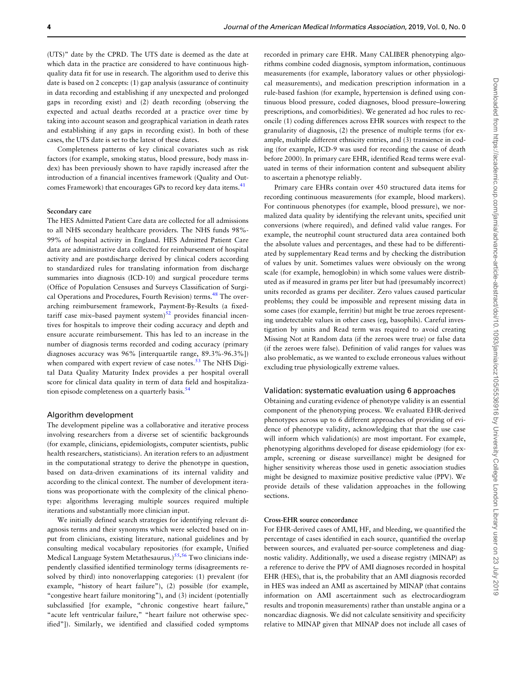(UTS)" date by the CPRD. The UTS date is deemed as the date at which data in the practice are considered to have continuous highquality data fit for use in research. The algorithm used to derive this date is based on 2 concepts: (1) gap analysis (assurance of continuity in data recording and establishing if any unexpected and prolonged gaps in recording exist) and (2) death recording (observing the expected and actual deaths recorded at a practice over time by taking into account season and geographical variation in death rates and establishing if any gaps in recording exist). In both of these cases, the UTS date is set to the latest of these dates.

Completeness patterns of key clinical covariates such as risk factors (for example, smoking status, blood pressure, body mass index) has been previously shown to have rapidly increased after the introduction of a financial incentives framework (Quality and Outcomes Framework) that encourages GPs to record key data items.<sup>41</sup>

#### Secondary care

The HES Admitted Patient Care data are collected for all admissions to all NHS secondary healthcare providers. The NHS funds 98%- 99% of hospital activity in England. HES Admitted Patient Care data are administrative data collected for reimbursement of hospital activity and are postdischarge derived by clinical coders according to standardized rules for translating information from discharge summaries into diagnosis (ICD-10) and surgical procedure terms (Office of Population Censuses and Surveys Classification of Surgical Operations and Procedures, Fourth Revision) terms.<sup>48</sup> The overarching reimbursement framework, Payment-By-Results (a fixedtariff case mix-based payment system) $52$  provides financial incentives for hospitals to improve their coding accuracy and depth and ensure accurate reimbursement. This has led to an increase in the number of diagnosis terms recorded and coding accuracy (primary diagnoses accuracy was 96% [interquartile range, 89.3%-96.3%]) when compared with expert review of case notes.<sup>53</sup> The NHS Digital Data Quality Maturity Index provides a per hospital overall score for clinical data quality in term of data field and hospitalization episode completeness on a quarterly basis.<sup>54</sup>

#### Algorithm development

The development pipeline was a collaborative and iterative process involving researchers from a diverse set of scientific backgrounds (for example, clinicians, epidemiologists, computer scientists, public health researchers, statisticians). An iteration refers to an adjustment in the computational strategy to derive the phenotype in question, based on data-driven examinations of its internal validity and according to the clinical context. The number of development iterations was proportionate with the complexity of the clinical phenotype: algorithms leveraging multiple sources required multiple iterations and substantially more clinician input.

We initially defined search strategies for identifying relevant diagnosis terms and their synonyms which were selected based on input from clinicians, existing literature, national guidelines and by consulting medical vocabulary repositories (for example, Unified Medical Language System Metathesaurus.)<sup>55,56</sup> Two clinicians independently classified identified terminology terms (disagreements resolved by third) into nonoverlapping categories: (1) prevalent (for example, "history of heart failure"), (2) possible (for example, "congestive heart failure monitoring"), and (3) incident (potentially subclassified [for example, "chronic congestive heart failure," "acute left ventricular failure," "heart failure not otherwise specified"]). Similarly, we identified and classified coded symptoms recorded in primary care EHR. Many CALIBER phenotyping algorithms combine coded diagnosis, symptom information, continuous measurements (for example, laboratory values or other physiological measurements), and medication prescription information in a rule-based fashion (for example, hypertension is defined using continuous blood pressure, coded diagnoses, blood pressure–lowering prescriptions, and comorbidities). We generated ad hoc rules to reconcile (1) coding differences across EHR sources with respect to the granularity of diagnosis, (2) the presence of multiple terms (for example, multiple different ethnicity entries, and (3) transience in coding (for example, ICD-9 was used for recording the cause of death before 2000). In primary care EHR, identified Read terms were evaluated in terms of their information content and subsequent ability to ascertain a phenotype reliably.

Primary care EHRs contain over 450 structured data items for recording continuous measurements (for example, blood markers). For continuous phenotypes (for example, blood pressure), we normalized data quality by identifying the relevant units, specified unit conversions (where required), and defined valid value ranges. For example, the neutrophil count structured data area contained both the absolute values and percentages, and these had to be differentiated by supplementary Read terms and by checking the distribution of values by unit. Sometimes values were obviously on the wrong scale (for example, hemoglobin) in which some values were distributed as if measured in grams per liter but had (presumably incorrect) units recorded as grams per deciliter. Zero values caused particular problems; they could be impossible and represent missing data in some cases (for example, ferritin) but might be true zeroes representing undetectable values in other cases (eg, basophils). Careful investigation by units and Read term was required to avoid creating Missing Not at Random data (if the zeroes were true) or false data (if the zeroes were false). Definition of valid ranges for values was also problematic, as we wanted to exclude erroneous values without excluding true physiologically extreme values.

#### Validation: systematic evaluation using 6 approaches

Obtaining and curating evidence of phenotype validity is an essential component of the phenotyping process. We evaluated EHR-derived phenotypes across up to 6 different approaches of providing of evidence of phenotype validity, acknowledging that that the use case will inform which validation(s) are most important. For example, phenotyping algorithms developed for disease epidemiology (for example, screening or disease surveillance) might be designed for higher sensitivity whereas those used in genetic association studies might be designed to maximize positive predictive value (PPV). We provide details of these validation approaches in the following sections.

## Cross-EHR source concordance

For EHR-derived cases of AMI, HF, and bleeding, we quantified the percentage of cases identified in each source, quantified the overlap between sources, and evaluated per-source completeness and diagnostic validity. Additionally, we used a disease registry (MINAP) as a reference to derive the PPV of AMI diagnoses recorded in hospital EHR (HES), that is, the probability that an AMI diagnosis recorded in HES was indeed an AMI as ascertained by MINAP (that contains information on AMI ascertainment such as electrocardiogram results and troponin measurements) rather than unstable angina or a noncardiac diagnosis. We did not calculate sensitivity and specificity relative to MINAP given that MINAP does not include all cases of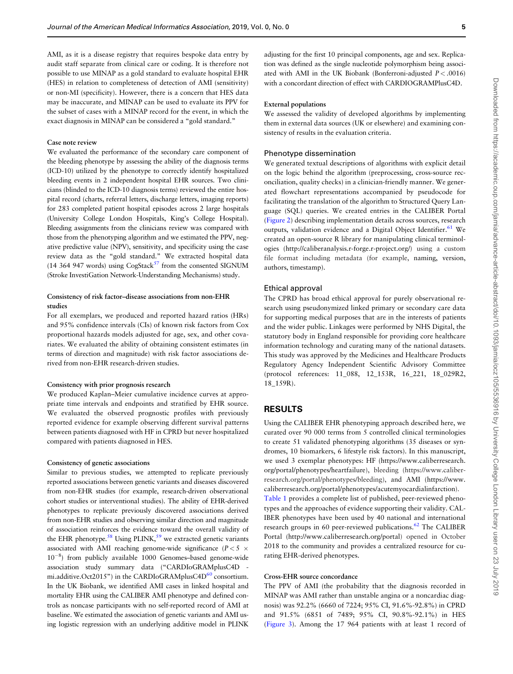AMI, as it is a disease registry that requires bespoke data entry by audit staff separate from clinical care or coding. It is therefore not possible to use MINAP as a gold standard to evaluate hospital EHR (HES) in relation to completeness of detection of AMI (sensitivity) or non-MI (specificity). However, there is a concern that HES data may be inaccurate, and MINAP can be used to evaluate its PPV for the subset of cases with a MINAP record for the event, in which the exact diagnosis in MINAP can be considered a "gold standard."

#### Case note review

We evaluated the performance of the secondary care component of the bleeding phenotype by assessing the ability of the diagnosis terms (ICD-10) utilized by the phenotype to correctly identify hospitalized bleeding events in 2 independent hospital EHR sources. Two clinicians (blinded to the ICD-10 diagnosis terms) reviewed the entire hospital record (charts, referral letters, discharge letters, imaging reports) for 283 completed patient hospital episodes across 2 large hospitals (University College London Hospitals, King's College Hospital). Bleeding assignments from the clinicians review was compared with those from the phenotyping algorithm and we estimated the PPV, negative predictive value (NPV), sensitivity, and specificity using the case review data as the "gold standard." We extracted hospital data (14 364 947 words) using  $\text{CogStack}^{57}$  from the consented SIGNUM (Stroke InvestiGation Network-Understanding Mechanisms) study.

## Consistency of risk factor–disease associations from non-EHR studies

For all exemplars, we produced and reported hazard ratios (HRs) and 95% confidence intervals (CIs) of known risk factors from Cox proportional hazards models adjusted for age, sex, and other covariates. We evaluated the ability of obtaining consistent estimates (in terms of direction and magnitude) with risk factor associations derived from non-EHR research-driven studies.

### Consistency with prior prognosis research

We produced Kaplan–Meier cumulative incidence curves at appropriate time intervals and endpoints and stratified by EHR source. We evaluated the observed prognostic profiles with previously reported evidence for example observing different survival patterns between patients diagnosed with HF in CPRD but never hospitalized compared with patients diagnosed in HES.

#### Consistency of genetic associations

Similar to previous studies, we attempted to replicate previously reported associations between genetic variants and diseases discovered from non-EHR studies (for example, research-driven observational cohort studies or interventional studies). The ability of EHR-derived phenotypes to replicate previously discovered associations derived from non-EHR studies and observing similar direction and magnitude of association reinforces the evidence toward the overall validity of the EHR phenotype.<sup>58</sup> Using PLINK,<sup>59</sup> we extracted genetic variants associated with AMI reaching genome-wide significance ( $P < 5 \times$  $10^{-8}$ ) from publicly available 1000 Genomes-based genome-wide association study summary data ("CARDIoGRAMplusC4D - mi.additive.Oct2015") in the CARDIoGRAMplusC4D<sup>[60](#page-13-0)</sup> consortium. In the UK Biobank, we identified AMI cases in linked hospital and mortality EHR using the CALIBER AMI phenotype and defined controls as noncase participants with no self-reported record of AMI at baseline. We estimated the association of genetic variants and AMI using logistic regression with an underlying additive model in PLINK

adjusting for the first 10 principal components, age and sex. Replication was defined as the single nucleotide polymorphism being associated with AMI in the UK Biobank (Bonferroni-adjusted  $P < .0016$ ) with a concordant direction of effect with CARDIOGRAMPlusC4D.

## External populations

We assessed the validity of developed algorithms by implementing them in external data sources (UK or elsewhere) and examining consistency of results in the evaluation criteria.

#### Phenotype dissemination

We generated textual descriptions of algorithms with explicit detail on the logic behind the algorithm (preprocessing, cross-source reconciliation, quality checks) in a clinician-friendly manner. We generated flowchart representations accompanied by pseudocode for facilitating the translation of the algorithm to Structured Query Language (SQL) queries. We created entries in the CALIBER Portal [\(Figure 2](#page-5-0)) describing implementation details across sources, research outputs, validation evidence and a Digital Object Identifier.<sup>61</sup> We created an open-source R library for manipulating clinical terminologies (<http://caliberanalysis.r-forge.r-project.org/>) using a custom file format including metadata (for example, naming, version, authors, timestamp).

## Ethical approval

The CPRD has broad ethical approval for purely observational research using pseudonymized linked primary or secondary care data for supporting medical purposes that are in the interests of patients and the wider public. Linkages were performed by NHS Digital, the statutory body in England responsible for providing core healthcare information technology and curating many of the national datasets. This study was approved by the Medicines and Healthcare Products Regulatory Agency Independent Scientific Advisory Committee (protocol references: 11\_088, 12\_153R, 16\_221, 18\_029R2, 18\_159R).

## RESULTS

Using the CALIBER EHR phenotyping approach described here, we curated over 90 000 terms from 5 controlled clinical terminologies to create 51 validated phenotyping algorithms (35 diseases or syndromes, 10 biomarkers, 6 lifestyle risk factors). In this manuscript, we used 3 exemplar phenotypes: HF [\(https://www.caliberresearch.](https://www.caliberresearch.org/portal/phenotypes/heartfailure) [org/portal/phenotypes/heartfailure](https://www.caliberresearch.org/portal/phenotypes/heartfailure)), bleeding [\(https://www.caliber](https://www.caliberresearch.org/portal/phenotypes/bleeding)[research.org/portal/phenotypes/bleeding\)](https://www.caliberresearch.org/portal/phenotypes/bleeding), and AMI ([https://www.](https://www.caliberresearch.org/portal/phenotypes/acutemyocardialinfarction) [caliberresearch.org/portal/phenotypes/acutemyocardialinfarction](https://www.caliberresearch.org/portal/phenotypes/acutemyocardialinfarction)).

[Table 1](#page-6-0) provides a complete list of published, peer-reviewed phenotypes and the approaches of evidence supporting their validity. CAL-IBER phenotypes have been used by 40 national and international research groups in 60 peer-reviewed publications. $62$  The CALIBER Portal ([http://www.caliberresearch.org/portal\)](http://www.caliberresearch.org/portal) opened in October 2018 to the community and provides a centralized resource for curating EHR-derived phenotypes.

#### Cross-EHR source concordance

The PPV of AMI (the probability that the diagnosis recorded in MINAP was AMI rather than unstable angina or a noncardiac diagnosis) was 92.2% (6660 of 7224; 95% CI, 91.6%-92.8%) in CPRD and 91.5% (6851 of 7489; 95% CI, 90.8%-92.1%) in HES [\(Figure 3](#page-7-0)). Among the 17 964 patients with at least 1 record of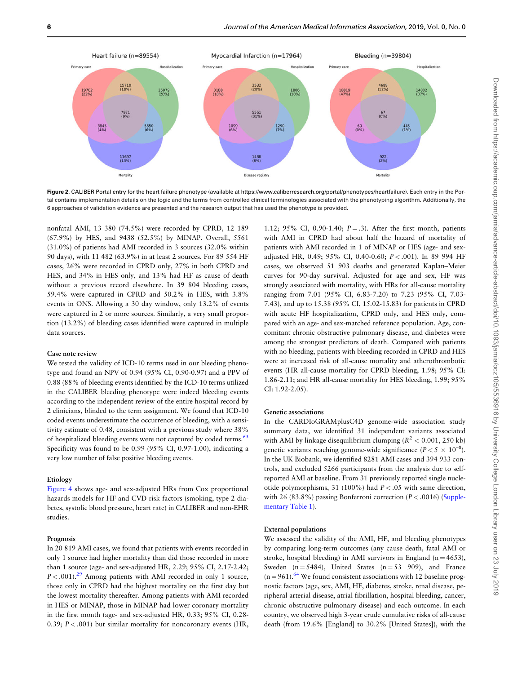<span id="page-5-0"></span>

Figure 2. CALIBER Portal entry for the heart failure phenotype (available at<https://www.caliberresearch.org/portal/phenotypes/heartfailure>). Each entry in the Portal contains implementation details on the logic and the terms from controlled clinical terminologies associated with the phenotyping algorithm. Additionally, the 6 approaches of validation evidence are presented and the research output that has used the phenotype is provided.

nonfatal AMI, 13 380 (74.5%) were recorded by CPRD, 12 189 (67.9%) by HES, and 9438 (52.5%) by MINAP. Overall, 5561 (31.0%) of patients had AMI recorded in 3 sources (32.0% within 90 days), with 11 482 (63.9%) in at least 2 sources. For 89 554 HF cases, 26% were recorded in CPRD only, 27% in both CPRD and HES, and 34% in HES only, and 13% had HF as cause of death without a previous record elsewhere. In 39 804 bleeding cases, 59.4% were captured in CPRD and 50.2% in HES, with 3.8% events in ONS. Allowing a 30 day window, only 13.2% of events were captured in 2 or more sources. Similarly, a very small proportion (13.2%) of bleeding cases identified were captured in multiple data sources.

#### Case note review

We tested the validity of ICD-10 terms used in our bleeding phenotype and found an NPV of 0.94 (95% CI, 0.90-0.97) and a PPV of 0.88 (88% of bleeding events identified by the ICD-10 terms utilized in the CALIBER bleeding phenotype were indeed bleeding events according to the independent review of the entire hospital record by 2 clinicians, blinded to the term assignment. We found that ICD-10 coded events underestimate the occurrence of bleeding, with a sensitivity estimate of 0.48, consistent with a previous study where 38% of hospitalized bleeding events were not captured by coded terms.<sup>63</sup> Specificity was found to be 0.99 (95% CI, 0.97-1.00), indicating a very low number of false positive bleeding events.

#### Etiology

[Figure 4](#page-8-0) shows age- and sex-adjusted HRs from Cox proportional hazards models for HF and CVD risk factors (smoking, type 2 diabetes, systolic blood pressure, heart rate) in CALIBER and non-EHR studies.

### Prognosis

In 20 819 AMI cases, we found that patients with events recorded in only 1 source had higher mortality than did those recorded in more than 1 source (age- and sex-adjusted HR, 2.29; 95% CI, 2.17-2.42;  $P < .001$ ).<sup>[29](#page-13-0)</sup> Among patients with AMI recorded in only 1 source, those only in CPRD had the highest mortality on the first day but the lowest mortality thereafter. Among patients with AMI recorded in HES or MINAP, those in MINAP had lower coronary mortality in the first month (age- and sex-adjusted HR, 0.33; 95% CI, 0.28- 0.39;  $P < .001$ ) but similar mortality for noncoronary events (HR,

1.12; 95% CI, 0.90-1.40;  $P = .3$ ). After the first month, patients with AMI in CPRD had about half the hazard of mortality of patients with AMI recorded in 1 of MINAP or HES (age- and sexadjusted HR, 0.49; 95% CI, 0.40-0.60; P < .001). In 89 994 HF cases, we observed 51 903 deaths and generated Kaplan–Meier curves for 90-day survival. Adjusted for age and sex, HF was strongly associated with mortality, with HRs for all-cause mortality ranging from 7.01 (95% CI, 6.83-7.20) to 7.23 (95% CI, 7.03- 7.43), and up to 15.38 (95% CI, 15.02-15.83) for patients in CPRD with acute HF hospitalization, CPRD only, and HES only, compared with an age- and sex-matched reference population. Age, concomitant chronic obstructive pulmonary disease, and diabetes were among the strongest predictors of death. Compared with patients with no bleeding, patients with bleeding recorded in CPRD and HES were at increased risk of all-cause mortality and atherothrombotic events (HR all-cause mortality for CPRD bleeding, 1.98; 95% CI: 1.86-2.11; and HR all-cause mortality for HES bleeding, 1.99; 95% CI: 1.92-2.05).

#### Genetic associations

In the CARDIoGRAMplusC4D genome-wide association study summary data, we identified 31 independent variants associated with AMI by linkage disequilibrium clumping  $(R^2 < 0.001, 250 \text{ kb})$ genetic variants reaching genome-wide significance ( $P < 5 \times 10^{-8}$ ). In the UK Biobank, we identified 8281 AMI cases and 394 933 controls, and excluded 5266 participants from the analysis due to selfreported AMI at baseline. From 31 previously reported single nucleotide polymorphisms, 31 (100%) had  $P < .05$  with same direction, with 26 (83.8%) passing Bonferroni correction ( $P < .0016$ ) ([Supple](https://academic.oup.com/jamia/article-lookup/doi/10.1093/jamia/ocz105#supplementary-data)[mentary Table 1\)](https://academic.oup.com/jamia/article-lookup/doi/10.1093/jamia/ocz105#supplementary-data).

#### External populations

We assessed the validity of the AMI, HF, and bleeding phenotypes by comparing long-term outcomes (any cause death, fatal AMI or stroke, hospital bleeding) in AMI survivors in England ( $n = 4653$ ), Sweden  $(n = 5484)$ , United States  $(n = 53 \quad 909)$ , and France  $(n = 961)$ .<sup>[64](#page-13-0)</sup> We found consistent associations with 12 baseline prognostic factors (age, sex, AMI, HF, diabetes, stroke, renal disease, peripheral arterial disease, atrial fibrillation, hospital bleeding, cancer, chronic obstructive pulmonary disease) and each outcome. In each country, we observed high 3-year crude cumulative risks of all-cause death (from 19.6% [England] to 30.2% [United States]), with the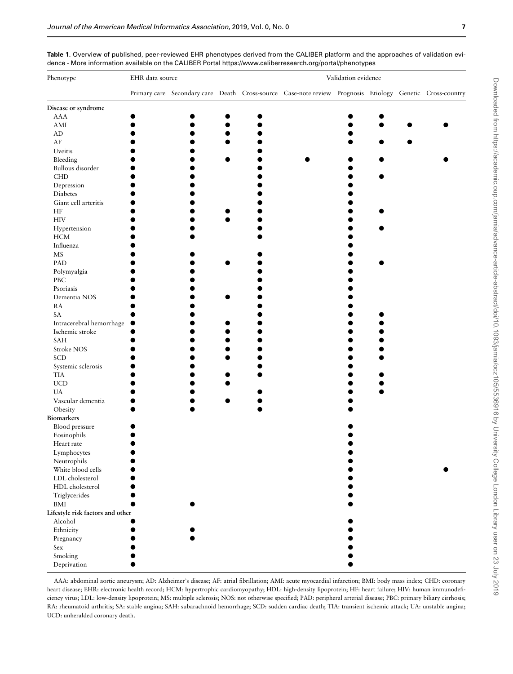Disease or syndrome

|                 |  |                                                                                                                                 | shed, peer-reviewed EHR phenotypes derived from the CALIBER platform and the approaches of validation evi-<br>vailable on the CALIBER Portal https://www.caliberresearch.org/portal/phenotypes |  |  |  |  |  |  |
|-----------------|--|---------------------------------------------------------------------------------------------------------------------------------|------------------------------------------------------------------------------------------------------------------------------------------------------------------------------------------------|--|--|--|--|--|--|
| EHR data source |  | Validation evidence<br>Primary care Secondary care Death Cross-source Case-note review Prognosis Etiology Genetic Cross-country |                                                                                                                                                                                                |  |  |  |  |  |  |
|                 |  |                                                                                                                                 |                                                                                                                                                                                                |  |  |  |  |  |  |
|                 |  |                                                                                                                                 |                                                                                                                                                                                                |  |  |  |  |  |  |
|                 |  |                                                                                                                                 |                                                                                                                                                                                                |  |  |  |  |  |  |
|                 |  |                                                                                                                                 |                                                                                                                                                                                                |  |  |  |  |  |  |
|                 |  |                                                                                                                                 |                                                                                                                                                                                                |  |  |  |  |  |  |
|                 |  |                                                                                                                                 |                                                                                                                                                                                                |  |  |  |  |  |  |
|                 |  |                                                                                                                                 |                                                                                                                                                                                                |  |  |  |  |  |  |
|                 |  |                                                                                                                                 |                                                                                                                                                                                                |  |  |  |  |  |  |
|                 |  |                                                                                                                                 |                                                                                                                                                                                                |  |  |  |  |  |  |
|                 |  |                                                                                                                                 |                                                                                                                                                                                                |  |  |  |  |  |  |
|                 |  |                                                                                                                                 |                                                                                                                                                                                                |  |  |  |  |  |  |
|                 |  |                                                                                                                                 |                                                                                                                                                                                                |  |  |  |  |  |  |
|                 |  |                                                                                                                                 |                                                                                                                                                                                                |  |  |  |  |  |  |
|                 |  |                                                                                                                                 |                                                                                                                                                                                                |  |  |  |  |  |  |
|                 |  |                                                                                                                                 |                                                                                                                                                                                                |  |  |  |  |  |  |
|                 |  |                                                                                                                                 |                                                                                                                                                                                                |  |  |  |  |  |  |
|                 |  |                                                                                                                                 |                                                                                                                                                                                                |  |  |  |  |  |  |
|                 |  |                                                                                                                                 |                                                                                                                                                                                                |  |  |  |  |  |  |
|                 |  |                                                                                                                                 |                                                                                                                                                                                                |  |  |  |  |  |  |
|                 |  |                                                                                                                                 |                                                                                                                                                                                                |  |  |  |  |  |  |
|                 |  |                                                                                                                                 |                                                                                                                                                                                                |  |  |  |  |  |  |
|                 |  |                                                                                                                                 |                                                                                                                                                                                                |  |  |  |  |  |  |
|                 |  |                                                                                                                                 |                                                                                                                                                                                                |  |  |  |  |  |  |

<span id="page-6-0"></span>

| Table 1. Overview of published, peer-reviewed EHR phenotypes derived from the CALIBER platform and the approaches of validation evi- |  |
|--------------------------------------------------------------------------------------------------------------------------------------|--|
| dence - More information available on the CALIBER Portal https://www.caliberresearch.org/portal/phenotypes                           |  |

Phenotype EHR data source Validation evidence

| AAA                                                                                                                                                    |  |  |  |  |
|--------------------------------------------------------------------------------------------------------------------------------------------------------|--|--|--|--|
| AMI                                                                                                                                                    |  |  |  |  |
| $\mbox{AD}$                                                                                                                                            |  |  |  |  |
| $\rm AF$                                                                                                                                               |  |  |  |  |
| Uveitis                                                                                                                                                |  |  |  |  |
| Bleeding                                                                                                                                               |  |  |  |  |
| Bullous disorder                                                                                                                                       |  |  |  |  |
| CHD                                                                                                                                                    |  |  |  |  |
| Depression                                                                                                                                             |  |  |  |  |
| Diabetes                                                                                                                                               |  |  |  |  |
| Giant cell arteritis                                                                                                                                   |  |  |  |  |
| $\rm{HF}$                                                                                                                                              |  |  |  |  |
| <b>HIV</b>                                                                                                                                             |  |  |  |  |
| Hypertension                                                                                                                                           |  |  |  |  |
| <b>HCM</b>                                                                                                                                             |  |  |  |  |
| Influenza                                                                                                                                              |  |  |  |  |
| $\rm{MS}$                                                                                                                                              |  |  |  |  |
| PAD                                                                                                                                                    |  |  |  |  |
| Polymyalgia                                                                                                                                            |  |  |  |  |
| PBC                                                                                                                                                    |  |  |  |  |
| Psoriasis                                                                                                                                              |  |  |  |  |
| Dementia NOS                                                                                                                                           |  |  |  |  |
| ${\rm RA}$                                                                                                                                             |  |  |  |  |
| $\operatorname{SA}$                                                                                                                                    |  |  |  |  |
| Intracerebral hemorrhage                                                                                                                               |  |  |  |  |
| Ischemic stroke                                                                                                                                        |  |  |  |  |
| SAH                                                                                                                                                    |  |  |  |  |
| Stroke NOS                                                                                                                                             |  |  |  |  |
| SCD                                                                                                                                                    |  |  |  |  |
|                                                                                                                                                        |  |  |  |  |
| Systemic sclerosis                                                                                                                                     |  |  |  |  |
| TIA<br>$UCD$                                                                                                                                           |  |  |  |  |
|                                                                                                                                                        |  |  |  |  |
| $\mathsf{U}\mathsf{A}$<br>Vascular dementia                                                                                                            |  |  |  |  |
|                                                                                                                                                        |  |  |  |  |
| Obesity                                                                                                                                                |  |  |  |  |
| Biomarkers                                                                                                                                             |  |  |  |  |
| Blood pressure                                                                                                                                         |  |  |  |  |
| Eosinophils                                                                                                                                            |  |  |  |  |
| Heart rate                                                                                                                                             |  |  |  |  |
| Lymphocytes                                                                                                                                            |  |  |  |  |
| Neutrophils                                                                                                                                            |  |  |  |  |
| White blood cells                                                                                                                                      |  |  |  |  |
| LDL cholesterol                                                                                                                                        |  |  |  |  |
| HDL cholesterol                                                                                                                                        |  |  |  |  |
| Triglycerides                                                                                                                                          |  |  |  |  |
| BMI                                                                                                                                                    |  |  |  |  |
| Lifestyle risk factors and other                                                                                                                       |  |  |  |  |
| Alcohol                                                                                                                                                |  |  |  |  |
| Ethnicity                                                                                                                                              |  |  |  |  |
| Pregnancy                                                                                                                                              |  |  |  |  |
| Sex                                                                                                                                                    |  |  |  |  |
| Smoking                                                                                                                                                |  |  |  |  |
| Deprivation                                                                                                                                            |  |  |  |  |
| AAA: abdominal aortic aneurysm: AD: Alzheimer's disease: AE: atrial fibrillation: AMI: acute myocardial infarction: BMI: body mass index: CHD: coronal |  |  |  |  |

se; AF: atrial fibrillation; AMI: acute myocardial infarc heart disease; EHR: electronic health record; HCM: hypertrophic cardiomyopathy; HDL: high-density lipoprotein; HF: heart failure; HIV: human immunodeficiency virus; LDL: low-density lipoprotein; MS: multiple sclerosis; NOS: not otherwise specified; PAD: peripheral arterial disease; PBC: primary biliary cirrhosis; RA: rheumatoid arthritis; SA: stable angina; SAH: subarachnoid hemorrhage; SCD: sudden cardiac death; TIA: transient ischemic attack; UA: unstable angina; UCD: unheralded coronary death.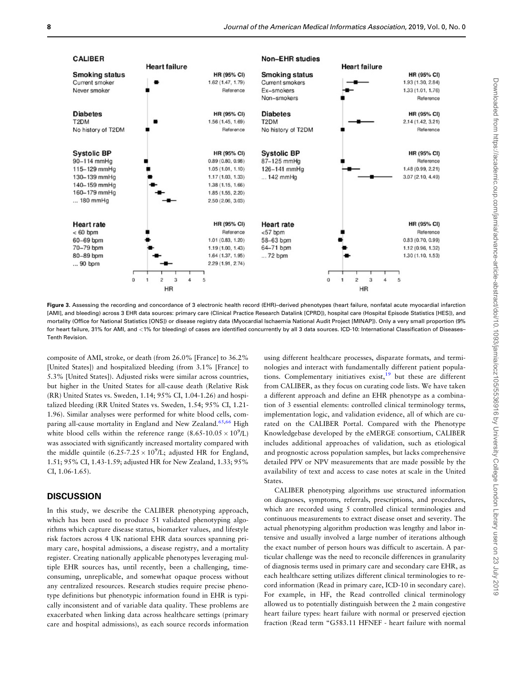<span id="page-7-0"></span>

Figure 3. Assessing the recording and concordance of 3 electronic health record (EHR)–derived phenotypes (heart failure, nonfatal acute myocardial infarction [AMI], and bleeding) across 3 EHR data sources: primary care (Clinical Practice Research Datalink [CPRD]), hospital care (Hospital Episode Statistics [HES]), and mortality (Office for National Statistics [ONS]) or disease registry data (Myocardial Ischaemia National Audit Project [MINAP]). Only a very small proportion (9% for heart failure, 31% for AMI, and <1% for bleeding) of cases are identified concurrently by all 3 data sources. ICD-10: International Classification of Diseases-Tenth Revision.

composite of AMI, stroke, or death (from 26.0% [France] to 36.2% [United States]) and hospitalized bleeding (from 3.1% [France] to 5.3% [United States]). Adjusted risks were similar across countries, but higher in the United States for all-cause death (Relative Risk (RR) United States vs. Sweden, 1.14; 95% CI, 1.04-1.26) and hospitalized bleeding (RR United States vs. Sweden, 1.54; 95% CI, 1.21- 1.96). Similar analyses were performed for white blood cells, com-paring all-cause mortality in England and New Zealand.<sup>[65](#page-13-0),[66](#page-13-0)</sup> High white blood cells within the reference range  $(8.65\times10.05\times10^9/L)$ was associated with significantly increased mortality compared with the middle quintile  $(6.25{\text -}7.25\times10^9/\text{L})$ ; adjusted HR for England, 1.51; 95% CI, 1.43-1.59; adjusted HR for New Zealand, 1.33; 95% CI, 1.06-1.65).

# **DISCUSSION**

In this study, we describe the CALIBER phenotyping approach, which has been used to produce 51 validated phenotyping algorithms which capture disease status, biomarker values, and lifestyle risk factors across 4 UK national EHR data sources spanning primary care, hospital admissions, a disease registry, and a mortality register. Creating nationally applicable phenotypes leveraging multiple EHR sources has, until recently, been a challenging, timeconsuming, unreplicable, and somewhat opaque process without any centralized resources. Research studies require precise phenotype definitions but phenotypic information found in EHR is typically inconsistent and of variable data quality. These problems are exacerbated when linking data across healthcare settings (primary care and hospital admissions), as each source records information

using different healthcare processes, disparate formats, and terminologies and interact with fundamentally different patient populations. Complementary initiatives exist,  $19$  but these are different from CALIBER, as they focus on curating code lists. We have taken a different approach and define an EHR phenotype as a combination of 3 essential elements: controlled clinical terminology terms, implementation logic, and validation evidence, all of which are curated on the CALIBER Portal. Compared with the Phenotype Knowledgebase developed by the eMERGE consortium, CALIBER includes additional approaches of validation, such as etiological and prognostic across population samples, but lacks comprehensive detailed PPV or NPV measurements that are made possible by the availability of text and access to case notes at scale in the United States.

CALIBER phenotyping algorithms use structured information on diagnoses, symptoms, referrals, prescriptions, and procedures, which are recorded using 5 controlled clinical terminologies and continuous measurements to extract disease onset and severity. The actual phenotyping algorithm production was lengthy and labor intensive and usually involved a large number of iterations although the exact number of person hours was difficult to ascertain. A particular challenge was the need to reconcile differences in granularity of diagnosis terms used in primary care and secondary care EHR, as each healthcare setting utilizes different clinical terminologies to record information (Read in primary care, ICD-10 in secondary care). For example, in HF, the Read controlled clinical terminology allowed us to potentially distinguish between the 2 main congestive heart failure types: heart failure with normal or preserved ejection fraction (Read term "G583.11 HFNEF - heart failure with normal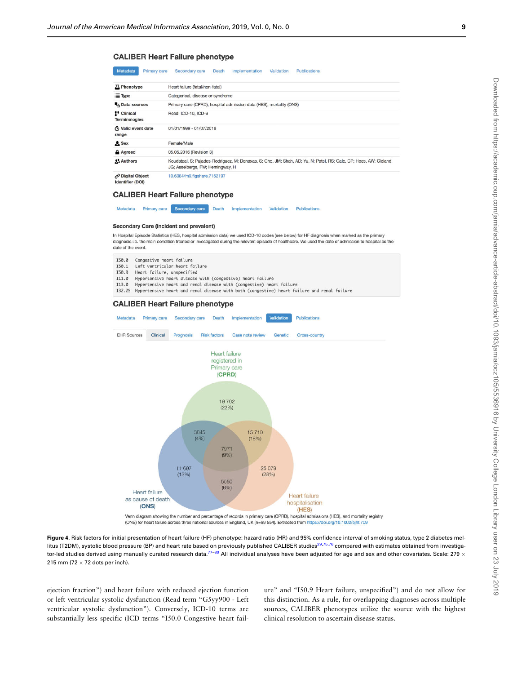## <span id="page-8-0"></span>**CALIBER Heart Failure phenotype**

| <b>Metadata</b>                      | <b>Primary care</b> | Secondary care                                                      | Death | Implementation | Validation | <b>Publications</b>                                                                                               |
|--------------------------------------|---------------------|---------------------------------------------------------------------|-------|----------------|------------|-------------------------------------------------------------------------------------------------------------------|
| <b>△ Phenotype</b>                   |                     | Heart failure (fatal/non-fatal)                                     |       |                |            |                                                                                                                   |
| 三 Type                               |                     | Categorical, disease or syndrome                                    |       |                |            |                                                                                                                   |
| Data sources                         |                     | Primary care (CPRD), hospital admission data (HES), mortality (ONS) |       |                |            |                                                                                                                   |
| $P$ Clinical<br><b>Terminologies</b> |                     | Read, ICD-10, ICD-9                                                 |       |                |            |                                                                                                                   |
| Valid event date<br>range            |                     | 01/01/1999 - 01/07/2016                                             |       |                |            |                                                                                                                   |
| Sex                                  |                     | Female/Male                                                         |       |                |            |                                                                                                                   |
| Agreed                               |                     | 05.05.2016 (Revision 3)                                             |       |                |            |                                                                                                                   |
| o, Authors                           |                     | JG; Asselbergs, FW; Hemingway, H.                                   |       |                |            | Koudstaal, S; Pujades-Rodriguez, M; Denaxas, S; Gho, JM; Shah, AD; Yu, N; Patel, RS; Gale, CP; Hoes, AW; Cleland, |
| O Digital Object<br>Identifier (DOI) |                     | 10.6084/m9.figshare.7152197                                         |       |                |            |                                                                                                                   |

## **CALIBER Heart Failure phenotype**

Metadata Primary care Secondary care Death Implementation Validation Publication

#### Secondary Care (incident and prevalent)

In Hospital Episode Statistics (HES, hospital admission data) we used ICD-10 codes (see below) for HF diagnosis when marked as the primary diagnosis i.e. the main condition treated or investigated during the relevant episode of healthcare. We used the date of admission to hospital as the date of the event.

- 150.0 Congestive heart failure
- T50.1 Left ventricular heart failure
- I50.9 Heart failure, unspecified
- Hypertensive heart disease with (congestive) heart failure I11.0
- I13.0 Hypertensive heart and renal disease with (congestive) heart failure<br>I32.25 Hypertensive heart and renal disease with both (congestive) heart failure and renal failure
- 

## **CALIBER Heart Failure phenotype**



(ONS) for heart failure across three national sources in England, UK (n=89 554). Extracted from https://doi.org/10.1002/ejhf.709

Figure 4. Risk factors for initial presentation of heart failure (HF) phenotype: hazard ratio (HR) and 95% confidence interval of smoking status, type 2 diabetes mel-litus (T2DM), systolic blood pressure (BP) and heart rate based on previously published CALIBER studies<sup>29,[75](#page-14-0),[76](#page-14-0)</sup> compared with estimates obtained from investiga-tor-led studies derived using manually curated research data.<sup>[77–80](#page-14-0)</sup> All individual analyses have been adjusted for age and sex and other covariates. Scale: 279  $\times$ 215 mm (72  $\times$  72 dots per inch).

ejection fraction") and heart failure with reduced ejection function or left ventricular systolic dysfunction (Read term "G5yy900 - Left ventricular systolic dysfunction"). Conversely, ICD-10 terms are substantially less specific (ICD terms "I50.0 Congestive heart failure" and "I50.9 Heart failure, unspecified") and do not allow for this distinction. As a rule, for overlapping diagnoses across multiple sources, CALIBER phenotypes utilize the source with the highest clinical resolution to ascertain disease status.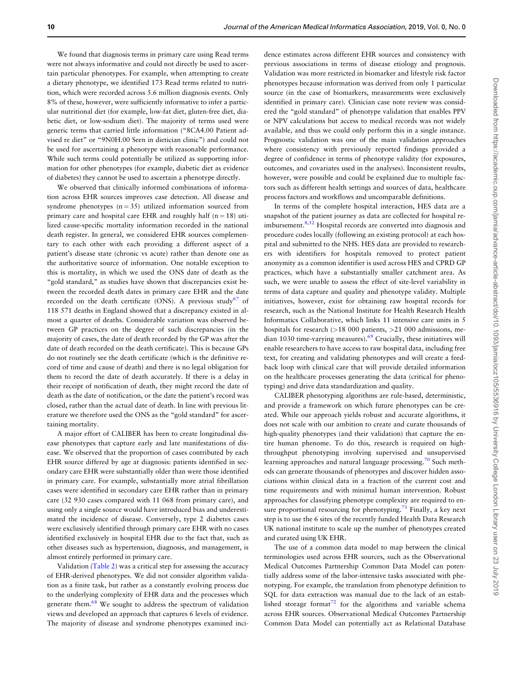We found that diagnosis terms in primary care using Read terms were not always informative and could not directly be used to ascertain particular phenotypes. For example, when attempting to create a dietary phenotype, we identified 173 Read terms related to nutrition, which were recorded across 5.6 million diagnosis events. Only 8% of these, however, were sufficiently informative to infer a particular nutritional diet (for example, low-fat diet, gluten-free diet, diabetic diet, or low-sodium diet). The majority of terms used were generic terms that carried little information ("8CA4.00 Patient advised re diet" or "9N0H.00 Seen in dietician clinic") and could not be used for ascertaining a phenotype with reasonable performance. While such terms could potentially be utilized as supporting information for other phenotypes (for example, diabetic diet as evidence of diabetes) they cannot be used to ascertain a phenotype directly.

We observed that clinically informed combinations of information across EHR sources improves case detection. All disease and syndrome phenotypes  $(n = 35)$  utilized information sourced from primary care and hospital care EHR and roughly half  $(n = 18)$  utilized cause-specific mortality information recorded in the national death register. In general, we considered EHR sources complementary to each other with each providing a different aspect of a patient's disease state (chronic vs acute) rather than denote one as the authoritative source of information. One notable exception to this is mortality, in which we used the ONS date of death as the "gold standard," as studies have shown that discrepancies exist between the recorded death dates in primary care EHR and the date recorded on the death certificate (ONS). A previous study<sup>[67](#page-13-0)</sup> of 118 571 deaths in England showed that a discrepancy existed in almost a quarter of deaths. Considerable variation was observed between GP practices on the degree of such discrepancies (in the majority of cases, the date of death recorded by the GP was after the date of death recorded on the death certificate). This is because GPs do not routinely see the death certificate (which is the definitive record of time and cause of death) and there is no legal obligation for them to record the date of death accurately. If there is a delay in their receipt of notification of death, they might record the date of death as the date of notification, or the date the patient's record was closed, rather than the actual date of death. In line with previous literature we therefore used the ONS as the "gold standard" for ascertaining mortality.

A major effort of CALIBER has been to create longitudinal disease phenotypes that capture early and late manifestations of disease. We observed that the proportion of cases contributed by each EHR source differed by age at diagnosis: patients identified in secondary care EHR were substantially older than were those identified in primary care. For example, substantially more atrial fibrillation cases were identified in secondary care EHR rather than in primary care (32 930 cases compared with 11 068 from primary care), and using only a single source would have introduced bias and underestimated the incidence of disease. Conversely, type 2 diabetes cases were exclusively identified through primary care EHR with no cases identified exclusively in hospital EHR due to the fact that, such as other diseases such as hypertension, diagnosis, and management, is almost entirely performed in primary care.

Validation ([Table 2\)](#page-10-0) was a critical step for assessing the accuracy of EHR-derived phenotypes. We did not consider algorithm validation as a finite task, but rather as a constantly evolving process due to the underlying complexity of EHR data and the processes which generate them.<sup>68</sup> We sought to address the spectrum of validation views and developed an approach that captures 6 levels of evidence. The majority of disease and syndrome phenotypes examined incidence estimates across different EHR sources and consistency with previous associations in terms of disease etiology and prognosis. Validation was more restricted in biomarker and lifestyle risk factor phenotypes because information was derived from only 1 particular source (in the case of biomarkers, measurements were exclusively identified in primary care). Clinician case note review was considered the "gold standard" of phenotype validation that enables PPV or NPV calculations but access to medical records was not widely available, and thus we could only perform this in a single instance. Prognostic validation was one of the main validation approaches where consistency with previously reported findings provided a degree of confidence in terms of phenotype validity (for exposures, outcomes, and covariates used in the analyses). Inconsistent results, however, were possible and could be explained due to multiple factors such as different health settings and sources of data, healthcare process factors and workflows and uncomparable definitions.

In terms of the complete hospital interaction, HES data are a snapshot of the patient journey as data are collected for hospital reimbursement.[8,](#page-12-0)[52](#page-13-0) Hospital records are converted into diagnosis and procedure codes locally (following an existing protocol) at each hospital and submitted to the NHS. HES data are provided to researchers with identifiers for hospitals removed to protect patient anonymity as a common identifier is used across HES and CPRD GP practices, which have a substantially smaller catchment area. As such, we were unable to assess the effect of site-level variability in terms of data capture and quality and phenotype validity. Multiple initiatives, however, exist for obtaining raw hospital records for research, such as the National Institute for Health Research Health Informatics Collaborative, which links 11 intensive care units in 5 hospitals for research (>18 000 patients, >21 000 admissions, me-dian 1030 time-varying measures).<sup>[69](#page-14-0)</sup> Crucially, these initiatives will enable researchers to have access to raw hospital data, including free text, for creating and validating phenotypes and will create a feedback loop with clinical care that will provide detailed information on the healthcare processes generating the data (critical for phenotyping) and drive data standardization and quality.

CALIBER phenotyping algorithms are rule-based, deterministic, and provide a framework on which future phenotypes can be created. While our approach yields robust and accurate algorithms, it does not scale with our ambition to create and curate thousands of high-quality phenotypes (and their validation) that capture the entire human phenome. To do this, research is required on highthroughput phenotyping involving supervised and unsupervised learning approaches and natural language processing.<sup>[70](#page-14-0)</sup> Such methods can generate thousands of phenotypes and discover hidden associations within clinical data in a fraction of the current cost and time requirements and with minimal human intervention. Robust approaches for classifying phenotype complexity are required to en-sure proportional resourcing for phenotyping.<sup>[71](#page-14-0)</sup> Finally, a key next step is to use the 6 sites of the recently funded Health Data Research UK national institute to scale up the number of phenotypes created and curated using UK EHR.

The use of a common data model to map between the clinical terminologies used across EHR sources, such as the Observational Medical Outcomes Partnership Common Data Model can potentially address some of the labor-intensive tasks associated with phenotyping. For example, the translation from phenotype definition to SQL for data extraction was manual due to the lack of an estab-lished storage format<sup>[72](#page-14-0)</sup> for the algorithms and variable schema across EHR sources. Observational Medical Outcomes Partnership Common Data Model can potentially act as Relational Database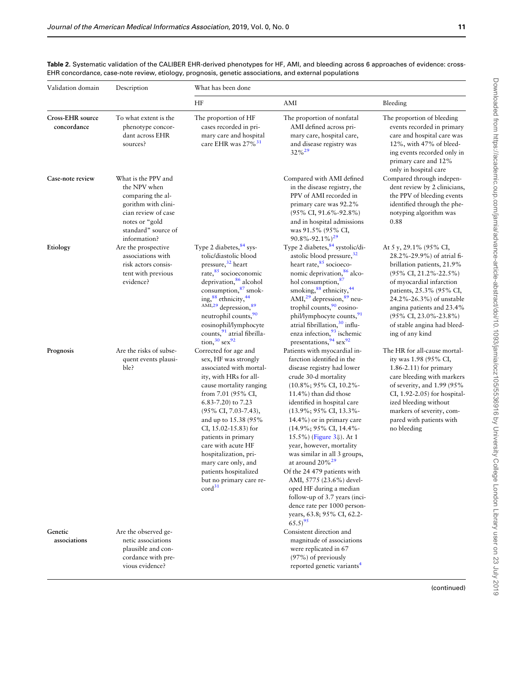<span id="page-10-0"></span>Table 2. Systematic validation of the CALIBER EHR-derived phenotypes for HF, AMI, and bleeding across 6 approaches of evidence: cross-EHR concordance, case-note review, etiology, prognosis, genetic associations, and external populations

| Validation domain               | Description                                                                                                                                                     | What has been done                                                                                                                                                                                                                                                                                                                                                                                                       |                                                                                                                                                                                                                                                                                                                                                                                                                                                                                                                                                                                                                                       |                                                                                                                                                                                                                                                                                                                                       |  |  |  |
|---------------------------------|-----------------------------------------------------------------------------------------------------------------------------------------------------------------|--------------------------------------------------------------------------------------------------------------------------------------------------------------------------------------------------------------------------------------------------------------------------------------------------------------------------------------------------------------------------------------------------------------------------|---------------------------------------------------------------------------------------------------------------------------------------------------------------------------------------------------------------------------------------------------------------------------------------------------------------------------------------------------------------------------------------------------------------------------------------------------------------------------------------------------------------------------------------------------------------------------------------------------------------------------------------|---------------------------------------------------------------------------------------------------------------------------------------------------------------------------------------------------------------------------------------------------------------------------------------------------------------------------------------|--|--|--|
|                                 |                                                                                                                                                                 | HF                                                                                                                                                                                                                                                                                                                                                                                                                       | AMI                                                                                                                                                                                                                                                                                                                                                                                                                                                                                                                                                                                                                                   | Bleeding                                                                                                                                                                                                                                                                                                                              |  |  |  |
| Cross-EHR source<br>concordance | To what extent is the<br>phenotype concor-<br>dant across EHR<br>sources?                                                                                       | The proportion of HF<br>cases recorded in pri-<br>mary care and hospital<br>care EHR was 27% <sup>31</sup>                                                                                                                                                                                                                                                                                                               | The proportion of nonfatal<br>AMI defined across pri-<br>mary care, hospital care,<br>and disease registry was<br>$32\%^{29}$                                                                                                                                                                                                                                                                                                                                                                                                                                                                                                         | The proportion of bleeding<br>events recorded in primary<br>care and hospital care was<br>12%, with 47% of bleed-<br>ing events recorded only in<br>primary care and 12%<br>only in hospital care                                                                                                                                     |  |  |  |
| Case-note review                | What is the PPV and<br>the NPV when<br>comparing the al-<br>gorithm with clini-<br>cian review of case<br>notes or "gold<br>standard" source of<br>information? |                                                                                                                                                                                                                                                                                                                                                                                                                          | Compared with AMI defined<br>in the disease registry, the<br>PPV of AMI recorded in<br>primary care was 92.2%<br>$(95\% \text{ CI}, 91.6\% - 92.8\%)$<br>and in hospital admissions<br>was 91.5% (95% CI,<br>$90.8\% - 92.1\%$ <sup>29</sup>                                                                                                                                                                                                                                                                                                                                                                                          | Compared through indepen-<br>dent review by 2 clinicians,<br>the PPV of bleeding events<br>identified through the phe-<br>notyping algorithm was<br>0.88                                                                                                                                                                              |  |  |  |
| Etiology                        | Are the prospective<br>associations with<br>risk actors consis-<br>tent with previous<br>evidence?                                                              | Type 2 diabetes, 84 sys-<br>tolic/diastolic blood<br>pressure, <sup>32</sup> heart<br>rate, 85 socioeconomic<br>deprivation, <sup>86</sup> alcohol<br>consumption, 87 smok-<br>ing, 88 ethnicity, 44<br>AMI,29 depression, 89<br>neutrophil counts, 90<br>eosinophil/lymphocyte<br>counts, <sup>91</sup> atrial fibrilla-<br>tion, $30 \text{ sex}^{92}$                                                                 | Type 2 diabetes, 84 systolic/di-<br>astolic blood pressure, <sup>32</sup><br>heart rate, <sup>85</sup> socioeco-<br>nomic deprivation, 86 alco-<br>hol consumption, 87<br>smoking, 88 ethnicity, 44<br>AMI, $^{29}$ depression, $^{89}$ neu-<br>trophil counts, $90$ eosino-<br>phil/lymphocyte counts, 91<br>atrial fibrillation, <sup>30</sup> influ-<br>enza infection, <sup>93</sup> ischemic<br>presentations, $94$ sex $92$                                                                                                                                                                                                     | At 5 y, 29.1% (95% CI,<br>28.2%-29.9%) of atrial fi-<br>brillation patients, 21.9%<br>$(95\% \text{ CI}, 21.2\% - 22.5\%)$<br>of myocardial infarction<br>patients, 25.3% (95% CI,<br>24.2%-26.3%) of unstable<br>angina patients and 23.4%<br>$(95\% \text{ CI}, 23.0\% - 23.8\%)$<br>of stable angina had bleed-<br>ing of any kind |  |  |  |
| Prognosis                       | Are the risks of subse-<br>quent events plausi-<br>ble?                                                                                                         | Corrected for age and<br>sex, HF was strongly<br>associated with mortal-<br>ity, with HRs for all-<br>cause mortality ranging<br>from 7.01 (95% CI,<br>6.83-7.20) to 7.23<br>(95% CI, 7.03-7.43),<br>and up to 15.38 (95%<br>CI, 15.02-15.83) for<br>patients in primary<br>care with acute HF<br>hospitalization, pri-<br>mary care only, and<br>patients hospitalized<br>but no primary care re-<br>$\text{cord}^{31}$ | Patients with myocardial in-<br>farction identified in the<br>disease registry had lower<br>crude 30-d mortality<br>$(10.8\%; 95\% \text{ CI}, 10.2\%$<br>11.4%) than did those<br>identified in hospital care<br>(13.9%; 95% CI, 13.3%-<br>14.4%) or in primary care<br>(14.9%; 95% CI, 14.4%-<br>15.5%) (Figure 3\, 3\, 1). At 1<br>year, however, mortality<br>was similar in all 3 groups,<br>at around $20\%$ <sup>29</sup><br>Of the 24 479 patients with<br>AMI, 5775 (23.6%) devel-<br>oped HF during a median<br>follow-up of 3.7 years (inci-<br>dence rate per 1000 person-<br>years, 63.8; 95% CI, 62.2-<br>$(65.5)^{95}$ | The HR for all-cause mortal-<br>ity was 1.98 (95% CI,<br>1.86-2.11) for primary<br>care bleeding with markers<br>of severity, and 1.99 (95%<br>CI, 1.92-2.05) for hospital-<br>ized bleeding without<br>markers of severity, com-<br>pared with patients with<br>no bleeding                                                          |  |  |  |
| Genetic<br>associations         | Are the observed ge-<br>netic associations<br>plausible and con-<br>cordance with pre-<br>vious evidence?                                                       |                                                                                                                                                                                                                                                                                                                                                                                                                          | Consistent direction and<br>magnitude of associations<br>were replicated in 67<br>(97%) of previously<br>reported genetic variants <sup>4</sup>                                                                                                                                                                                                                                                                                                                                                                                                                                                                                       |                                                                                                                                                                                                                                                                                                                                       |  |  |  |

(continued)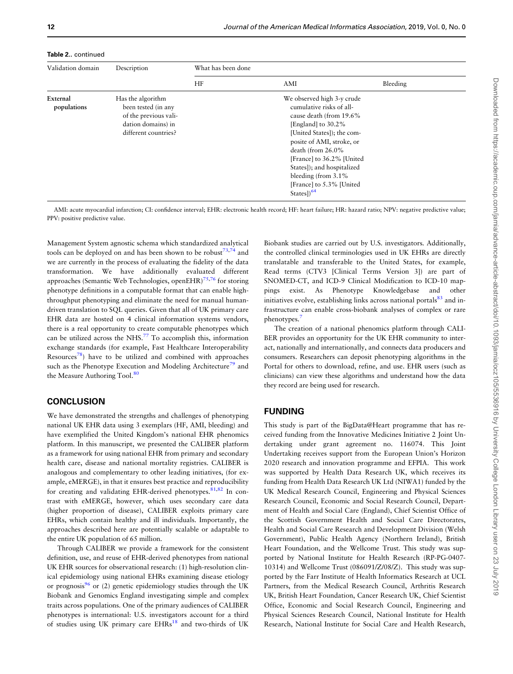|  | Table 2 continued |
|--|-------------------|
|  |                   |

| Validation domain       | Description                                                                                                     | What has been done |                                                                                                                                                                                                                                                                                                                                                |          |  |  |  |
|-------------------------|-----------------------------------------------------------------------------------------------------------------|--------------------|------------------------------------------------------------------------------------------------------------------------------------------------------------------------------------------------------------------------------------------------------------------------------------------------------------------------------------------------|----------|--|--|--|
|                         |                                                                                                                 | HF                 | AMI                                                                                                                                                                                                                                                                                                                                            | Bleeding |  |  |  |
| External<br>populations | Has the algorithm<br>been tested (in any<br>of the previous vali-<br>dation domains) in<br>different countries? |                    | We observed high 3-y crude<br>cumulative risks of all-<br>cause death (from 19.6%<br>[England] to 30.2%<br>[United States]); the com-<br>posite of AMI, stroke, or<br>death (from 26.0%<br>[France] to 36.2% [United]<br>States]); and hospitalized<br>bleeding (from $3.1\%$<br>[France] to 5.3% [United]<br>$\text{States}$ ]) <sup>64</sup> |          |  |  |  |

AMI: acute myocardial infarction; CI: confidence interval; EHR: electronic health record; HF: heart failure; HR: hazard ratio; NPV: negative predictive value; PPV: positive predictive value.

Management System agnostic schema which standardized analytical tools can be deployed on and has been shown to be robust  $73,74$  $73,74$  and we are currently in the process of evaluating the fidelity of the data transformation. We have additionally evaluated different approaches (Semantic Web Technologies, openEHR)<sup>[75](#page-14-0),[76](#page-14-0)</sup> for storing phenotype definitions in a computable format that can enable highthroughput phenotyping and eliminate the need for manual humandriven translation to SQL queries. Given that all of UK primary care EHR data are hosted on 4 clinical information systems vendors, there is a real opportunity to create computable phenotypes which can be utilized across the NHS[.77](#page-14-0) To accomplish this, information exchange standards (for example, Fast Healthcare Interoperability Resources<sup>78</sup>) have to be utilized and combined with approaches such as the Phenotype Execution and Modeling Architecture<sup>79</sup> and the Measure Authoring Tool.<sup>[80](#page-14-0)</sup>

## **CONCLUSION**

We have demonstrated the strengths and challenges of phenotyping national UK EHR data using 3 exemplars (HF, AMI, bleeding) and have exemplified the United Kingdom's national EHR phenomics platform. In this manuscript, we presented the CALIBER platform as a framework for using national EHR from primary and secondary health care, disease and national mortality registries. CALIBER is analogous and complementary to other leading initiatives, (for example, eMERGE), in that it ensures best practice and reproducibility for creating and validating EHR-derived phenotypes. 81,82 In contrast with eMERGE, however, which uses secondary care data (higher proportion of disease), CALIBER exploits primary care EHRs, which contain healthy and ill individuals. Importantly, the approaches described here are potentially scalable or adaptable to the entire UK population of 65 million.

Through CALIBER we provide a framework for the consistent definition, use, and reuse of EHR-derived phenotypes from national UK EHR sources for observational research: (1) high-resolution clinical epidemiology using national EHRs examining disease etiology or prognosis $96$  or (2) genetic epidemiology studies through the UK Biobank and Genomics England investigating simple and complex traits across populations. One of the primary audiences of CALIBER phenotypes is international: U.S. investigators account for a third of studies using UK primary care EHRs<sup>[18](#page-12-0)</sup> and two-thirds of UK

Biobank studies are carried out by U.S. investigators. Additionally, the controlled clinical terminologies used in UK EHRs are directly translatable and transferable to the United States, for example, Read terms (CTV3 [Clinical Terms Version 3]) are part of SNOMED-CT, and ICD-9 Clinical Modification to ICD-10 mappings exist. As Phenotype Knowledgebase and other initiatives evolve, establishing links across national portals $83$  and infrastructure can enable cross-biobank analyses of complex or rare phenotypes.<sup>[7](#page-12-0)</sup>

The creation of a national phenomics platform through CALI-BER provides an opportunity for the UK EHR community to interact, nationally and internationally, and connects data producers and consumers. Researchers can deposit phenotyping algorithms in the Portal for others to download, refine, and use. EHR users (such as clinicians) can view these algorithms and understand how the data they record are being used for research.

## FUNDING

This study is part of the BigData@Heart programme that has received funding from the Innovative Medicines Initiative 2 Joint Undertaking under grant agreement no. 116074. This Joint Undertaking receives support from the European Union's Horizon 2020 research and innovation programme and EFPIA. This work was supported by Health Data Research UK, which receives its funding from Health Data Research UK Ltd (NIWA1) funded by the UK Medical Research Council, Engineering and Physical Sciences Research Council, Economic and Social Research Council, Department of Health and Social Care (England), Chief Scientist Office of the Scottish Government Health and Social Care Directorates, Health and Social Care Research and Development Division (Welsh Government), Public Health Agency (Northern Ireland), British Heart Foundation, and the Wellcome Trust. This study was supported by National Institute for Health Research (RP-PG-0407- 10314) and Wellcome Trust (086091/Z/08/Z). This study was supported by the Farr Institute of Health Informatics Research at UCL Partners, from the Medical Research Council, Arthritis Research UK, British Heart Foundation, Cancer Research UK, Chief Scientist Office, Economic and Social Research Council, Engineering and Physical Sciences Research Council, National Institute for Health Research, National Institute for Social Care and Health Research,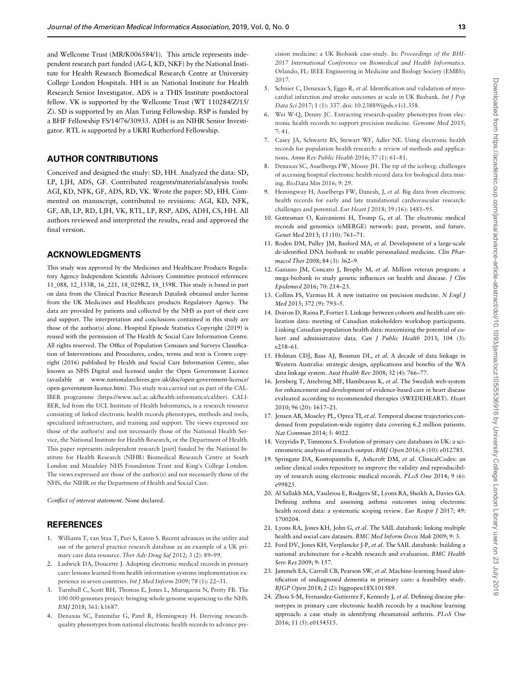<span id="page-12-0"></span>and Wellcome Trust (MR/K006584/1). This article represents independent research part funded (AG-I, KD, NKF) by the National Institute for Health Research Biomedical Research Centre at University College London Hospitals. HH is an National Institute for Health Research Senior Investigator. ADS is a THIS Institute postdoctoral fellow. VK is supported by the Wellcome Trust (WT 110284/Z/15/ Z). SD is supported by an Alan Turing Fellowship. RSP is funded by a BHF Fellowship FS/14/76/30933. ADH is an NIHR Senior Investigator. RTL is supported by a UKRI Rutherford Fellowship.

# AUTHOR CONTRIBUTIONS

Conceived and designed the study: SD, HH. Analyzed the data: SD, LP, LJH, ADS, GF. Contributed reagents/materials/analysis tools: AGI, KD, NFK, GF, ADS, RD, VK. Wrote the paper: SD, HH. Commented on manuscript, contributed to revisions: AGI, KD, NFK, GF, AB, LP, RD, LJH, VK, RTL, LP, RSP, ADS, ADH, CS, HH. All authors reviewed and interpreted the results, read and approved the final version.

# ACKNOWLEDGMENTS

This study was approved by the Medicines and Healthcare Products Regulatory Agency Independent Scientific Advisory Committee protocol references: 11\_088, 12\_153R, 16\_221, 18\_029R2, 18\_159R. This study is based in part on data from the Clinical Practice Research Datalink obtained under license from the UK Medicines and Healthcare products Regulatory Agency. The data are provided by patients and collected by the NHS as part of their care and support. The interpretation and conclusions contained in this study are those of the author(s) alone. Hospital Episode Statistics Copyright (2019) is reused with the permission of The Health & Social Care Information Centre. All rights reserved. The Office of Population Censuses and Surveys Classification of Interventions and Procedures, codes, terms and text is Crown copyright (2016) published by Health and Social Care Information Centre, also known as NHS Digital and licensed under the Open Government Licence (available at www.nationalarchives.gov.uk/doc/open-government-licence/ open-government-licence.htm). This study was carried out as part of the CAL-IBER programme [\(https://www.ucl.ac.uk/health-informatics/caliber\)](https://www.ucl.ac.uk/health-informatics/caliber). CALI-BER, led from the UCL Institute of Health Informatics, is a research resource consisting of linked electronic health records phenotypes, methods and tools, specialized infrastructure, and training and support. The views expressed are those of the author(s) and not necessarily those of the National Health Service, the National Institute for Health Research, or the Department of Health. This paper represents independent research [part] funded by the National Institute for Health Research (NIHR) Biomedical Research Centre at South London and Maudsley NHS Foundation Trust and King's College London. The views expressed are those of the author(s) and not necessarily those of the NHS, the NIHR or the Department of Health and Social Care.

Conflict of interest statement. None declared.

## REFERENCES

- 1. Williams T, van Staa T, Puri S, Eaton S. Recent advances in the utility and use of the general practice research database as an example of a UK primary care data resource. Ther Adv Drug Saf 2012; 3 (2): 89–99.
- 2. Ludwick DA, Doucette J. Adopting electronic medical records in primary care: lessons learned from health information systems implementation experience in seven countries. Int J Med Inform 2009; 78 (1): 22–31.
- 3. Turnbull C, Scott RH, Thomas E, Jones L, Murugaesu N, Pretty FB. The 100 000 genomes project: bringing whole genome sequencing to the NHS. BMJ 2018; 361: k1687.
- 4. Denaxas SC, Fatemifar G, Patel R, Hemingway H. Deriving researchquality phenotypes from national electronic health records to advance pre-

cision medicine: a UK Biobank case-study. In: Proceedings of the BHI-2017 International Conference on Biomedical and Health Informatics. Orlando, FL: IEEE Engineering in Medicine and Biology Society (EMBS); 2017.

- 5. Schnier C, Denaxas S, Eggo R, et al. Identification and validation of myocardial infarction and stroke outcomes at scale in UK Biobank. Int J Pop Data Sci 2017; 1 (1): 337. doi: 10.23889/ijpds.v1i1.358.
- 6. Wei W-Q, Denny JC. Extracting research-quality phenotypes from electronic health records to support precision medicine. Genome Med 2015; 7: 41.
- 7. Casey JA, Schwartz BS, Stewart WF, Adler NE. Using electronic health records for population health research: a review of methods and applications. Annu Rev Public Health 2016; 37 (1): 61–81.
- 8. Denaxas SC, Asselbergs FW, Moore JH. The tip of the iceberg: challenges of accessing hospital electronic health record data for biological data mining. BioData Min 2016; 9: 29.
- 9. Hemingway H, Asselbergs FW, Danesh, J, et al. Big data from electronic health records for early and late translational cardiovascular research: challenges and potential. Eur Heart J 2018; 39 (16): 1481–95.
- 10. Gottesman O, Kuivaniemi H, Tromp G, et al. The electronic medical records and genomics (eMERGE) network: past, present, and future. Genet Med 2013; 15 (10): 761–71.
- 11. Roden DM, Pulley JM, Basford MA, et al. Development of a large-scale de-identified DNA biobank to enable personalized medicine. Clin Pharmacol Ther 2008; 84 (3): 362–9.
- 12. Gaziano JM, Concato J, Brophy M, et al. Million veteran program: a mega-biobank to study genetic influences on health and disease. J Clin Epidemiol 2016; 70: 214–23.
- 13. Collins FS, Varmus H. A new initiative on precision medicine. N Engl J Med 2015; 372 (9): 793–5.
- 14. Doiron D, Raina P, Fortier I. Linkage between cohorts and health care utilization data: meeting of Canadian stakeholders workshop participants. Linking Canadian population health data: maximizing the potential of cohort and administrative data. Can J Public Health 2013; 104 (3): e258–61.
- 15. Holman CDJ, Bass AJ, Rosman DL, et al. A decade of data linkage in Western Australia: strategic design, applications and benefits of the WA data linkage system. Aust Health Rev 2008; 32 (4): 766–77.
- 16. Jernberg T, Attebring MF, Hambraeus K, et al. The Swedish web-system for enhancement and development of evidence-based care in heart disease evaluated according to recommended therapies (SWEDEHEART). Heart 2010; 96 (20): 1617–21.
- 17. Jensen AB, Moseley PL, Oprea TI, et al. Temporal disease trajectories condensed from population-wide registry data covering 6.2 million patients. Nat Commun 2014; 5: 4022.
- 18. Vezyridis P, Timmons S. Evolution of primary care databases in UK: a scientometric analysis of research output. BMJ Open 2016; 6 (10): e012785.
- 19. Springate DA, Kontopantelis E, Ashcroft DM, et al. ClinicalCodes: an online clinical codes repository to improve the validity and reproducibility of research using electronic medical records. PLoS One 2014; 9 (6): e99825.
- 20. Al Sallakh MA, Vasileiou E, Rodgers SE, Lyons RA, Sheikh A, Davies GA. Defining asthma and assessing asthma outcomes using electronic health record data: a systematic scoping review. Eur Respir J 2017; 49: 1700204.
- 21. Lyons RA, Jones KH, John G, et al. The SAIL databank: linking multiple health and social care datasets. BMC Med Inform Decis Mak 2009; 9: 3.
- 22. Ford DV, Jones KH, Verplancke J-P, et al. The SAIL databank: building a national architecture for e-health research and evaluation. BMC Health Serv Res 2009; 9: 157.
- 23. Jammeh EA, Carroll CB, Pearson SW, et al. Machine-learning based identification of undiagnosed dementia in primary care: a feasibility study. BJGP Open 2018; 2 (2): bjgpopen18X101589.
- 24. Zhou S-M, Fernandez-Gutierrez F, Kennedy J, et al. Defining disease phenotypes in primary care electronic health records by a machine learning approach: a case study in identifying rheumatoid arthritis. PLoS One 2016; 11 (5): e0154515.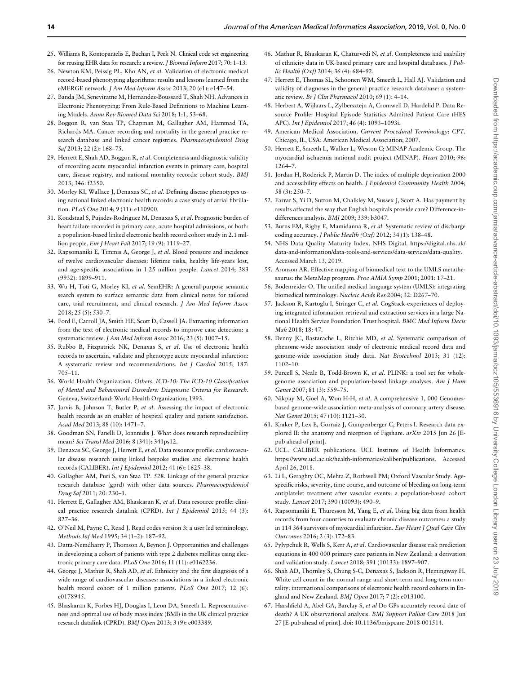- <span id="page-13-0"></span>25. Williams R, Kontopantelis E, Buchan I, Peek N. Clinical code set engineering for reusing EHR data for research: a review. J Biomed Inform 2017; 70: 1–13.
- 26. Newton KM, Peissig PL, Kho AN, et al. Validation of electronic medical record-based phenotyping algorithms: results and lessons learned from the eMERGE network. J Am Med Inform Assoc 2013; 20 (e1): e147–54.
- 27. Banda JM, Seneviratne M, Hernandez-Boussard T, Shah NH. Advances in Electronic Phenotyping: From Rule-Based Definitions to Machine Learning Models. Annu Rev Biomed Data Sci 2018; 1:1, 53–68.
- 28. Boggon R, van Staa TP, Chapman M, Gallagher AM, Hammad TA, Richards MA. Cancer recording and mortality in the general practice research database and linked cancer registries. Pharmacoepidemiol Drug Saf 2013; 22 (2): 168-75.
- 29. Herrett E, Shah AD, Boggon R, et al. Completeness and diagnostic validity of recording acute myocardial infarction events in primary care, hospital care, disease registry, and national mortality records: cohort study. BMJ 2013; 346: f2350.
- 30. Morley KI, Wallace J, Denaxas SC, et al. Defining disease phenotypes using national linked electronic health records: a case study of atrial fibrillation. PLoS One 2014; 9 (11): e110900.
- 31. Koudstaal S, Pujades-Rodriguez M, Denaxas S, et al. Prognostic burden of heart failure recorded in primary care, acute hospital admissions, or both: a population-based linked electronic health record cohort study in 2.1 million people. Eur J Heart Fail 2017; 19 (9): 1119–27.
- 32. Rapsomaniki E, Timmis A, George J, et al. Blood pressure and incidence of twelve cardiovascular diseases: lifetime risks, healthy life-years lost, and age-specific associations in 125 million people. Lancet 2014; 383 (9932): 1899–911.
- 33. Wu H, Toti G, Morley KI, et al. SemEHR: A general-purpose semantic search system to surface semantic data from clinical notes for tailored care, trial recruitment, and clinical research. J Am Med Inform Assoc 2018; 25 (5): 530–7.
- 34. Ford E, Carroll JA, Smith HE, Scott D, Cassell JA. Extracting information from the text of electronic medical records to improve case detection: a systematic review. J Am Med Inform Assoc 2016; 23 (5): 1007–15.
- 35. Rubbo B, Fitzpatrick NK, Denaxas S, et al. Use of electronic health records to ascertain, validate and phenotype acute myocardial infarction: A systematic review and recommendations. Int J Cardiol 2015; 187: 705–11.
- 36. World Health Organization. Others. ICD-10: The ICD-10 Classification of Mental and Behavioural Disorders: Diagnostic Criteria for Research. Geneva, Switzerland: World Health Organization; 1993.
- 37. Jarvis B, Johnson T, Butler P, et al. Assessing the impact of electronic health records as an enabler of hospital quality and patient satisfaction. Acad Med 2013; 88 (10): 1471–7.
- 38. Goodman SN, Fanelli D, Ioannidis J. What does research reproducibility mean? Sci Transl Med 2016; 8 (341): 341ps12.
- 39. Denaxas SC, George J, Herrett E, et al. Data resource profile: cardiovascular disease research using linked bespoke studies and electronic health records (CALIBER). Int J Epidemiol 2012; 41 (6): 1625–38.
- 40. Gallagher AM, Puri S, van Staa TP. 528. Linkage of the general practice research database (gprd) with other data sources. Pharmacoepidemiol Drug Saf 2011; 20: 230–1.
- 41. Herrett E, Gallagher AM, Bhaskaran K, et al. Data resource profile: clinical practice research datalink (CPRD). Int J Epidemiol 2015; 44 (3): 827–36.
- 42. O'Neil M, Payne C, Read J. Read codes version 3: a user led terminology. Methods Inf Med 1995; 34 (1–2): 187–92.
- 43. Datta-Nemdharry P, Thomson A, Beynon J. Opportunities and challenges in developing a cohort of patients with type 2 diabetes mellitus using electronic primary care data. PLoS One 2016; 11 (11): e0162236.
- 44. George J, Mathur R, Shah AD, et al. Ethnicity and the first diagnosis of a wide range of cardiovascular diseases: associations in a linked electronic health record cohort of 1 million patients. PLoS One 2017; 12 (6): e0178945.
- 45. Bhaskaran K, Forbes HJ, Douglas I, Leon DA, Smeeth L. Representativeness and optimal use of body mass index (BMI) in the UK clinical practice research datalink (CPRD). BMJ Open 2013; 3 (9): e003389.
- 46. Mathur R, Bhaskaran K, Chaturvedi N, et al. Completeness and usability of ethnicity data in UK-based primary care and hospital databases. J Public Health (Oxf) 2014; 36 (4): 684–92.
- 47. Herrett E, Thomas SL, Schoonen WM, Smeeth L, Hall AJ. Validation and validity of diagnoses in the general practice research database: a systematic review. Br J Clin Pharmacol 2010; 69 (1): 4–14.
- 48. Herbert A, Wijlaars L, Zylbersztejn A, Cromwell D, Hardelid P. Data Resource Profile: Hospital Episode Statistics Admitted Patient Care (HES APC). Int J Epidemiol 2017; 46 (4): 1093–1093i.
- 49. American Medical Association. Current Procedural Terminology: CPT. Chicago, IL, USA: American Medical Association; 2007.
- 50. Herrett E, Smeeth L, Walker L, Weston C; MINAP Academic Group. The myocardial ischaemia national audit project (MINAP). Heart 2010; 96: 1264–7.
- 51. Jordan H, Roderick P, Martin D. The index of multiple deprivation 2000 and accessibility effects on health. J Epidemiol Community Health 2004; 58 (3): 250–7.
- 52. Farrar S, Yi D, Sutton M, Chalkley M, Sussex J, Scott A. Has payment by results affected the way that English hospitals provide care? Difference-indifferences analysis. BMJ 2009; 339: b3047.
- 53. Burns EM, Rigby E, Mamidanna R, et al. Systematic review of discharge coding accuracy. J Public Health (Oxf) 2012; 34 (1): 138–48.
- 54. NHS Data Quality Maturity Index. NHS Digital. [https://digital.nhs.uk/](https://digital.nhs.uk/data-and-information/data-tools-and-services/data-services/data-quality) [data-and-information/data-tools-and-services/data-services/data-quality.](https://digital.nhs.uk/data-and-information/data-tools-and-services/data-services/data-quality) Accessed March 13, 2019.
- 55. Aronson AR. Effective mapping of biomedical text to the UMLS metathesaurus: the MetaMap program. Proc AMIA Symp 2001; 2001: 17–21.
- 56. Bodenreider O. The unified medical language system (UMLS): integrating biomedical terminology. Nucleic Acids Res 2004; 32: D267–70.
- 57. Jackson R, Kartoglu I, Stringer C, et al. CogStack-experiences of deploying integrated information retrieval and extraction services in a large National Health Service Foundation Trust hospital. BMC Med Inform Decis Mak 2018; 18: 47.
- 58. Denny JC, Bastarache L, Ritchie MD, et al. Systematic comparison of phenome-wide association study of electronic medical record data and genome-wide association study data. Nat Biotechnol 2013; 31 (12): 1102–10.
- 59. Purcell S, Neale B, Todd-Brown K, et al. PLINK: a tool set for wholegenome association and population-based linkage analyses. Am J Hum Genet 2007; 81 (3): 559–75.
- 60. Nikpay M, Goel A, Won H-H, et al. A comprehensive 1, 000 Genomesbased genome-wide association meta-analysis of coronary artery disease. Nat Genet 2015; 47 (10): 1121–30.
- 61. Kraker P, Lex E, Gorraiz J, Gumpenberger C, Peters I. Research data explored II: the anatomy and reception of Figshare. arXiv 2015 Jun 26 [Epub ahead of print].
- 62. UCL. CALIBER publications. UCL Institute of Health Informatics. [https://www.ucl.ac.uk/health-informatics/caliber/publications.](https://www.ucl.ac.uk/health-informatics/caliber/publications) Accessed April 26, 2018.
- 63. Li L, Geraghty OC, Mehta Z, Rothwell PM; Oxford Vascular Study. Agespecific risks, severity, time course, and outcome of bleeding on long-term antiplatelet treatment after vascular events: a population-based cohort study. Lancet 2017; 390 (10093): 490–9.
- 64. Rapsomaniki E, Thuresson M, Yang E, et al. Using big data from health records from four countries to evaluate chronic disease outcomes: a study in 114 364 survivors of myocardial infarction. Eur Heart J Qual Care Clin Outcomes 2016; 2 (3): 172–83.
- 65. Pylypchuk R, Wells S, Kerr A, et al. Cardiovascular disease risk prediction equations in 400 000 primary care patients in New Zealand: a derivation and validation study. Lancet 2018; 391 (10133): 1897–907.
- 66. Shah AD, Thornley S, Chung S-C, Denaxas S, Jackson R, Hemingway H. White cell count in the normal range and short-term and long-term mortality: international comparisons of electronic health record cohorts in England and New Zealand. BMJ Open 2017; 7 (2): e013100.
- 67. Harshfield A, Abel GA, Barclay S, et al Do GPs accurately record date of death? A UK observational analysis. BMJ Support Palliat Care 2018 Jun 27 [E-pub ahead of print]. doi: 10.1136/bmjspcare-2018-001514.